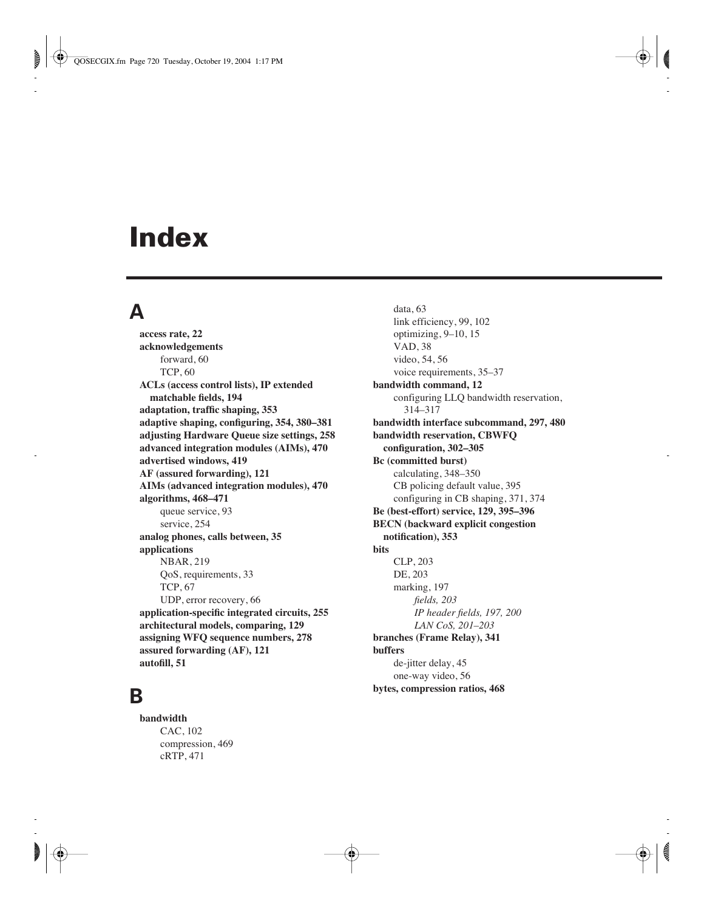# **Index**

#### **A**

**access rate, 22 acknowledgements** forward, 60 TCP, 60 **ACLs (access control lists), IP extended matchable fields, 194 adaptation, traffic shaping, 353 adaptive shaping, configuring, 354, 380–381 adjusting Hardware Queue size settings, 258 advanced integration modules (AIMs), 470 advertised windows, 419 AF (assured forwarding), 121 AIMs (advanced integration modules), 470 algorithms, 468–471** queue service, 93 service, 254 **analog phones, calls between, 35 applications** NBAR, 219 QoS, requirements, 33 TCP, 67 UDP, error recovery, 66 **application-specific integrated circuits, 255 architectural models, comparing, 129 assigning WFQ sequence numbers, 278 assured forwarding (AF), 121 autofill, 51**

#### **B**

**bandwidth** CAC, 102 compression, 469 cRTP, 471

data, 63 link efficiency, 99, 102 optimizing, 9–10, 15 VAD, 38 video, 54, 56 voice requirements, 35–37 **bandwidth command, 12** configuring LLQ bandwidth reservation, 314–317 **bandwidth interface subcommand, 297, 480 bandwidth reservation, CBWFQ configuration, 302–305 Bc (committed burst)** calculating, 348–350 CB policing default value, 395 configuring in CB shaping, 371, 374 **Be (best-effort) service, 129, 395–396 BECN (backward explicit congestion notification), 353 bits** CLP, 203 DE, 203 marking, 197 *fields, 203 IP header fields, 197, 200 LAN CoS, 201*–*203* **branches (Frame Relay), 341 buffers** de-jitter delay, 45 one-way video, 56 **bytes, compression ratios, 468**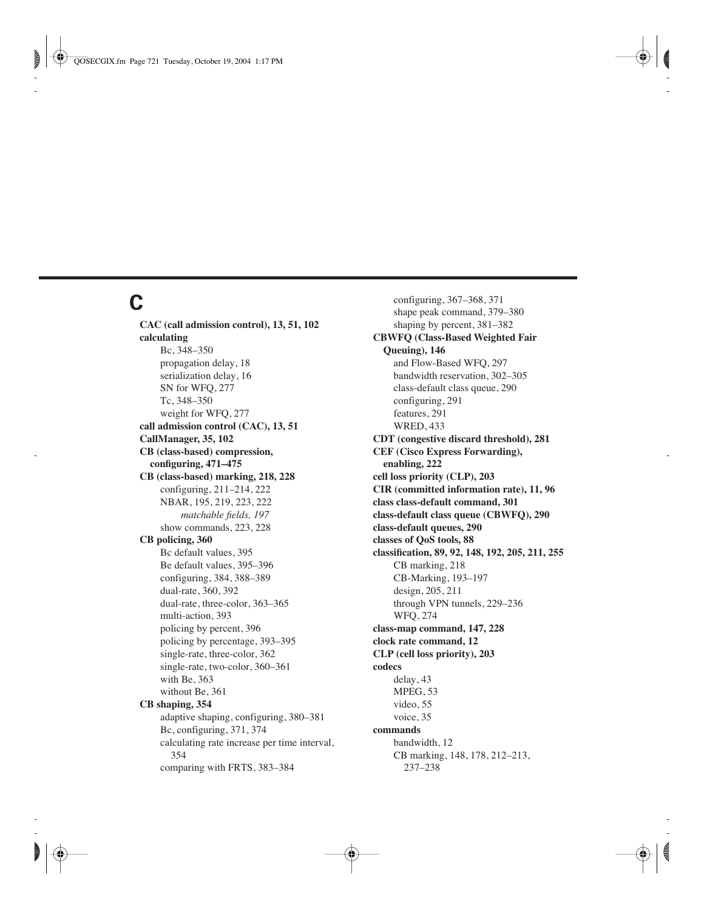## **C**

**CAC (call admission control), 13, 51, 102 calculating** Bc, 348–350 propagation delay, 18 serialization delay, 16 SN for WFQ, 277 Tc, 348–350 weight for WFQ, 277 **call admission control (CAC), 13, 51 CallManager, 35, 102 CB (class-based) compression, configuring, 471–475 CB (class-based) marking, 218, 228** configuring, 211–214, 222 NBAR, 195, 219, 223, 222 *matchable fields, 197* show commands, 223, 228 **CB policing, 360** Bc default values, 395 Be default values, 395–396 configuring, 384, 388–389 dual-rate, 360, 392 dual-rate, three-color, 363–365 multi-action, 393 policing by percent, 396 policing by percentage, 393–395 single-rate, three-color, 362 single-rate, two-color, 360–361 with Be, 363 without Be, 361 **CB shaping, 354** adaptive shaping, configuring, 380–381 Bc, configuring, 371, 374 calculating rate increase per time interval, 354 comparing with FRTS, 383–384

configuring, 367–368, 371 shape peak command, 379–380 shaping by percent, 381–382 **CBWFQ (Class-Based Weighted Fair Queuing), 146** and Flow-Based WFQ, 297 bandwidth reservation, 302–305 class-default class queue, 290 configuring, 291 features, 291 WRED, 433 **CDT (congestive discard threshold), 281 CEF (Cisco Express Forwarding), enabling, 222 cell loss priority (CLP), 203 CIR (committed information rate), 11, 96 class class-default command, 301 class-default class queue (CBWFQ), 290 class-default queues, 290 classes of QoS tools, 88 classification, 89, 92, 148, 192, 205, 211, 255** CB marking, 218 CB-Marking, 193–197 design, 205, 211 through VPN tunnels, 229–236 WFQ, 274 **class-map command, 147, 228 clock rate command, 12 CLP (cell loss priority), 203 codecs** delay, 43 MPEG, 53 video, 55 voice, 35 **commands** bandwidth, 12 CB marking, 148, 178, 212–213, 237–238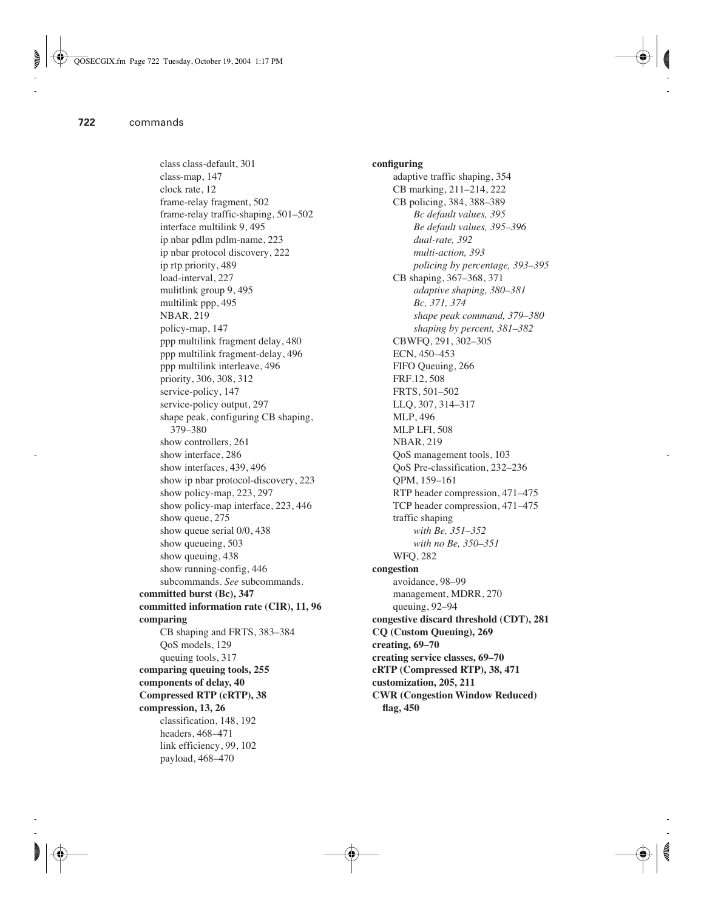class class-default, 301 class-map, 147 clock rate, 12 frame-relay fragment, 502 frame-relay traffic-shaping, 501–502 interface multilink 9, 495 ip nbar pdlm pdlm-name, 223 ip nbar protocol discovery, 222 ip rtp priority, 489 load-interval, 227 mulitlink group 9, 495 multilink ppp, 495 NBAR, 219 policy-map, 147 ppp multilink fragment delay, 480 ppp multilink fragment-delay, 496 ppp multilink interleave, 496 priority, 306, 308, 312 service-policy, 147 service-policy output, 297 shape peak, configuring CB shaping, 379–380 show controllers, 261 show interface, 286 show interfaces, 439, 496 show ip nbar protocol-discovery, 223 show policy-map, 223, 297 show policy-map interface, 223, 446 show queue, 275 show queue serial 0/0, 438 show queueing, 503 show queuing, 438 show running-config, 446 subcommands. *See* subcommands. **committed burst (Bc), 347 committed information rate (CIR), 11, 96 comparing** CB shaping and FRTS, 383–384 QoS models, 129 queuing tools, 317 **comparing queuing tools, 255 components of delay, 40 Compressed RTP (cRTP), 38 compression, 13, 26** classification, 148, 192 headers, 468–471 link efficiency, 99, 102 payload, 468–470

**configuring** adaptive traffic shaping, 354 CB marking, 211–214, 222 CB policing, 384, 388–389 *Bc default values, 395 Be default values, 395–396 dual-rate, 392 multi-action, 393 policing by percentage, 393–395* CB shaping, 367–368, 371 *adaptive shaping, 380–381 Bc, 371, 374 shape peak command, 379–380 shaping by percent, 381–382* CBWFQ, 291, 302–305 ECN, 450–453 FIFO Queuing, 266 FRF.12, 508 FRTS, 501–502 LLQ, 307, 314–317 MLP, 496 MLP LFI, 508 NBAR, 219 QoS management tools, 103 QoS Pre-classification, 232–236 QPM, 159–161 RTP header compression, 471–475 TCP header compression, 471–475 traffic shaping *with Be, 351–352 with no Be, 350–351* WFQ, 282 **congestion** avoidance, 98–99 management, MDRR, 270 queuing, 92–94 **congestive discard threshold (CDT), 281 CQ (Custom Queuing), 269 creating, 69–70 creating service classes, 69–70 cRTP (Compressed RTP), 38, 471 customization, 205, 211 CWR (Congestion Window Reduced) flag, 450**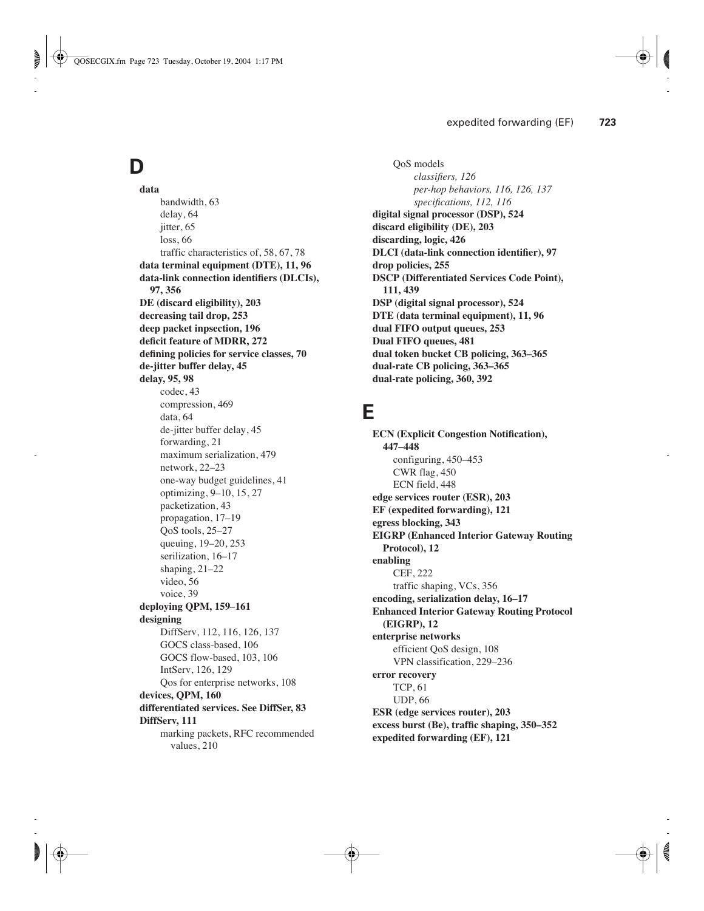# **D**

**data** bandwidth, 63 delay, 64 jitter, 65 loss, 66 traffic characteristics of, 58, 67, 78 **data terminal equipment (DTE), 11, 96 data-link connection identifiers (DLCIs), 97, 356 DE (discard eligibility), 203 decreasing tail drop, 253 deep packet inpsection, 196 deficit feature of MDRR, 272 defining policies for service classes, 70 de-jitter buffer delay, 45 delay, 95, 98** codec, 43 compression, 469 data, 64 de-jitter buffer delay, 45 forwarding, 21 maximum serialization, 479 network, 22–23 one-way budget guidelines, 41 optimizing, 9–10, 15, 27 packetization, 43 propagation, 17–19 QoS tools, 25–27 queuing, 19–20, 253 serilization, 16–17 shaping, 21–22 video, 56 voice, 39 **deploying QPM, 159**–**161 designing**  DiffServ, 112, 116, 126, 137 GOCS class-based, 106 GOCS flow-based, 103, 106 IntServ, 126, 129 Qos for enterprise networks, 108 **devices, QPM, 160 differentiated services. See DiffSer, 83 DiffServ, 111** marking packets, RFC recommended values, 210

QoS models *classifiers, 126 per-hop behaviors, 116, 126, 137 specifications, 112, 116* **digital signal processor (DSP), 524 discard eligibility (DE), 203 discarding, logic, 426 DLCI (data-link connection identifier), 97 drop policies, 255 DSCP (Differentiated Services Code Point), 111, 439 DSP (digital signal processor), 524 DTE (data terminal equipment), 11, 96 dual FIFO output queues, 253 Dual FIFO queues, 481 dual token bucket CB policing, 363–365 dual-rate CB policing, 363–365 dual-rate policing, 360, 392**

#### **E**

**ECN (Explicit Congestion Notification), 447–448** configuring, 450–453 CWR flag, 450 ECN field, 448 **edge services router (ESR), 203 EF (expedited forwarding), 121 egress blocking, 343 EIGRP (Enhanced Interior Gateway Routing Protocol), 12 enabling** CEF, 222 traffic shaping, VCs, 356 **encoding, serialization delay, 16–17 Enhanced Interior Gateway Routing Protocol (EIGRP), 12 enterprise networks** efficient QoS design, 108 VPN classification, 229–236 **error recovery** TCP, 61 UDP, 66 **ESR (edge services router), 203 excess burst (Be), traffic shaping, 350–352 expedited forwarding (EF), 121**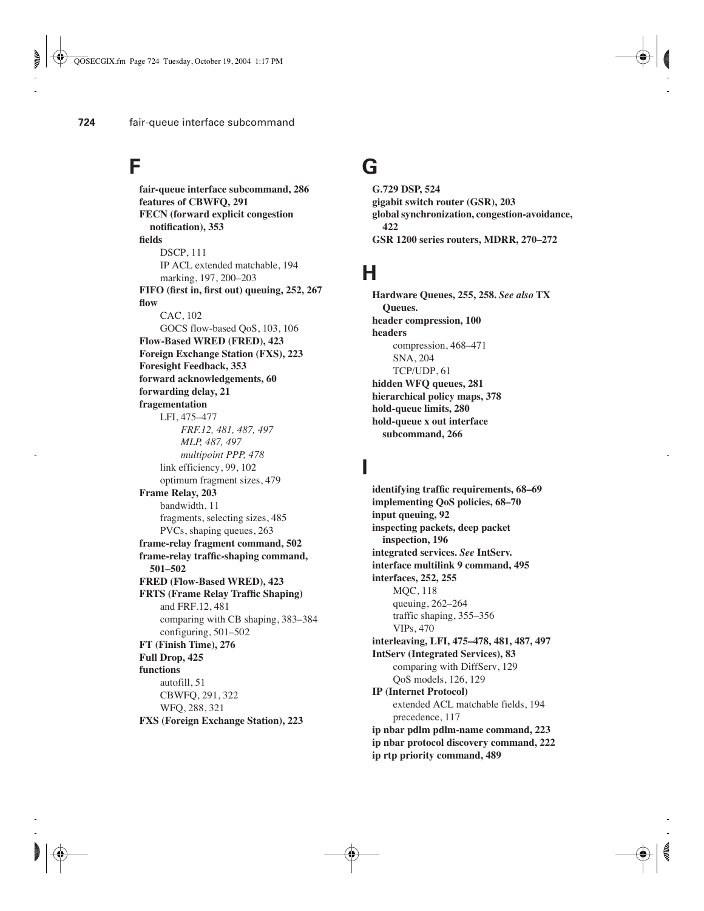#### **F**

**fair-queue interface subcommand, 286 features of CBWFQ, 291 FECN (forward explicit congestion notification), 353 fields** DSCP, 111 IP ACL extended matchable, 194 marking, 197, 200–203 **FIFO (first in, first out) queuing, 252, 267 flow** CAC, 102 GOCS flow-based QoS, 103, 106 **Flow-Based WRED (FRED), 423 Foreign Exchange Station (FXS), 223 Foresight Feedback, 353 forward acknowledgements, 60 forwarding delay, 21 fragementation** LFI, 475–477 *FRF.12, 481, 487, 497 MLP, 487, 497 multipoint PPP, 478* link efficiency, 99, 102 optimum fragment sizes, 479 **Frame Relay, 203** bandwidth, 11 fragments, selecting sizes, 485 PVCs, shaping queues, 263 **frame-relay fragment command, 502 frame-relay traffic-shaping command, 501–502 FRED (Flow-Based WRED), 423 FRTS (Frame Relay Traffic Shaping)** and FRF.12, 481 comparing with CB shaping, 383–384 configuring, 501–502 **FT (Finish Time), 276 Full Drop, 425 functions** autofill, 51 CBWFQ, 291, 322 WFQ, 288, 321 **FXS (Foreign Exchange Station), 223**

## **G**

**G.729 DSP, 524 gigabit switch router (GSR), 203 global synchronization, congestion-avoidance, 422 GSR 1200 series routers, MDRR, 270–272**

# **H**

**Hardware Queues, 255, 258.** *See also* **TX Queues. header compression, 100 headers** compression, 468–471 SNA, 204 TCP/UDP, 61 **hidden WFQ queues, 281 hierarchical policy maps, 378 hold-queue limits, 280 hold-queue x out interface subcommand, 266**

#### **I**

**identifying traffic requirements, 68–69 implementing QoS policies, 68–70 input queuing, 92 inspecting packets, deep packet inspection, 196 integrated services.** *See* **IntServ. interface multilink 9 command, 495 interfaces, 252, 255** MQC, 118 queuing, 262–264 traffic shaping, 355–356 VIPs, 470 **interleaving, LFI, 475–478, 481, 487, 497 IntServ (Integrated Services), 83** comparing with DiffServ, 129 QoS models, 126, 129 **IP (Internet Protocol)** extended ACL matchable fields, 194 precedence, 117 **ip nbar pdlm pdlm-name command, 223 ip nbar protocol discovery command, 222 ip rtp priority command, 489**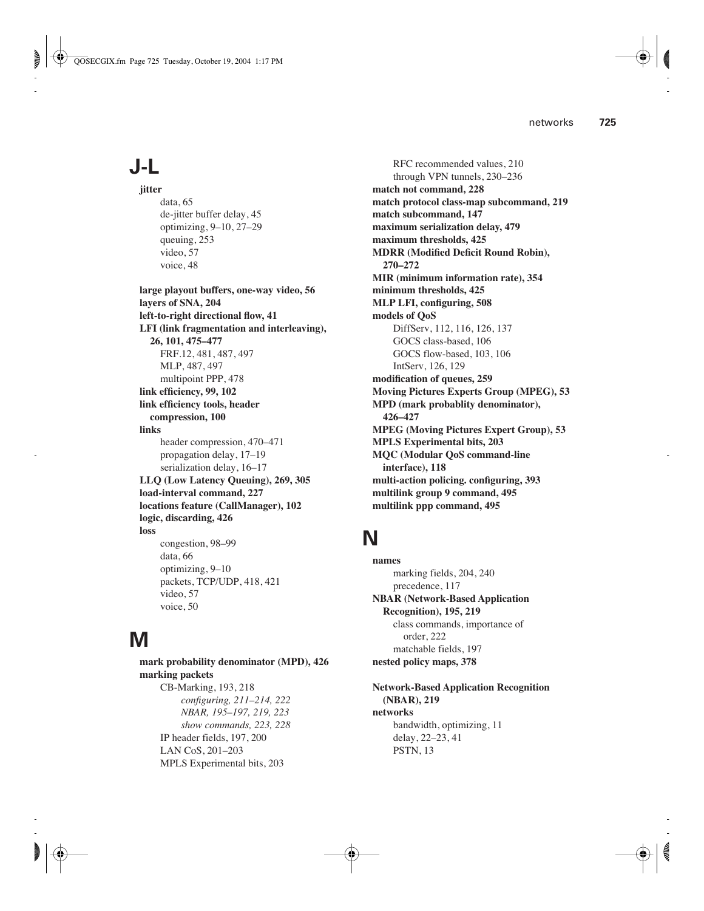# **J-L**

**jitter** data, 65 de-jitter buffer delay, 45 optimizing, 9–10, 27–29 queuing, 253 video, 57 voice, 48

**large playout buffers, one-way video, 56 layers of SNA, 204 left-to-right directional flow, 41 LFI (link fragmentation and interleaving), 26, 101, 475–477** FRF.12, 481, 487, 497 MLP, 487, 497 multipoint PPP, 478 **link efficiency, 99, 102 link efficiency tools, header compression, 100 links** header compression, 470–471 propagation delay, 17–19 serialization delay, 16–17 **LLQ (Low Latency Queuing), 269, 305 load-interval command, 227 locations feature (CallManager), 102 logic, discarding, 426 loss** congestion, 98–99 data, 66 optimizing, 9–10 packets, TCP/UDP, 418, 421 video, 57 voice, 50

# **M**

**mark probability denominator (MPD), 426 marking packets** CB-Marking, 193, 218 *configuring, 211–214, 222 NBAR, 195*–*197, 219, 223 show commands, 223, 228* IP header fields, 197, 200 LAN CoS, 201–203 MPLS Experimental bits, 203

RFC recommended values, 210 through VPN tunnels, 230–236 **match not command, 228 match protocol class-map subcommand, 219 match subcommand, 147 maximum serialization delay, 479 maximum thresholds, 425 MDRR (Modified Deficit Round Robin), 270–272 MIR (minimum information rate), 354 minimum thresholds, 425 MLP LFI, configuring, 508 models of QoS** DiffServ, 112, 116, 126, 137 GOCS class-based, 106 GOCS flow-based, 103, 106 IntServ, 126, 129 **modification of queues, 259 Moving Pictures Experts Group (MPEG), 53 MPD (mark probablity denominator), 426–427 MPEG (Moving Pictures Expert Group), 53 MPLS Experimental bits, 203 MQC (Modular QoS command-line interface), 118 multi-action policing. configuring, 393 multilink group 9 command, 495 multilink ppp command, 495**

# **N**

**names** marking fields, 204, 240 precedence, 117 **NBAR (Network-Based Application Recognition), 195, 219** class commands, importance of order, 222 matchable fields, 197 **nested policy maps, 378**

**Network-Based Application Recognition (NBAR), 219 networks** bandwidth, optimizing, 11 delay, 22–23, 41 PSTN, 13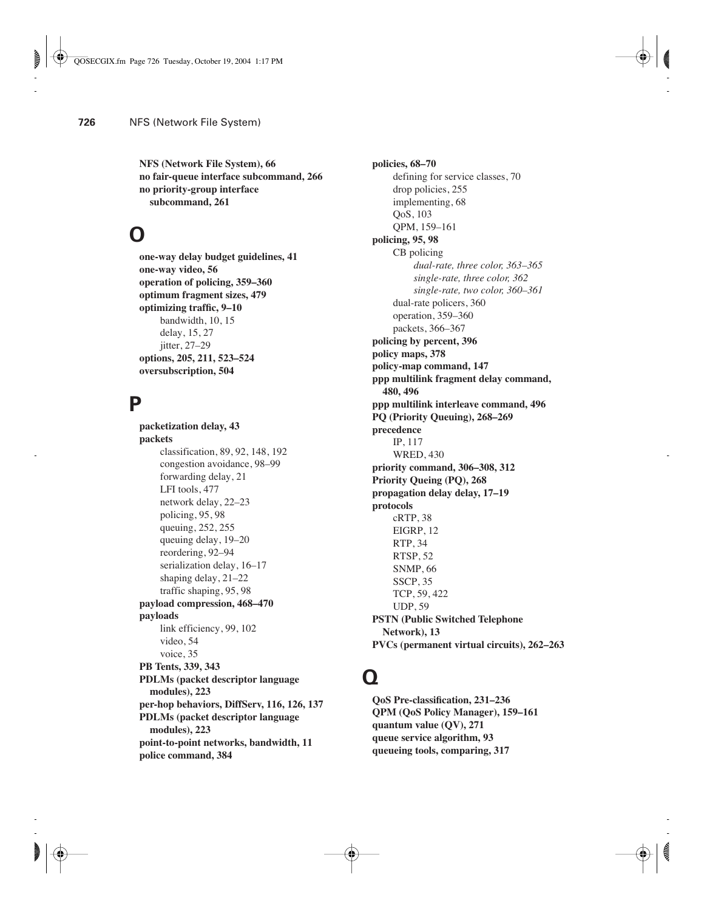**NFS (Network File System), 66 no fair-queue interface subcommand, 266 no priority-group interface subcommand, 261**

## **O**

**one-way delay budget guidelines, 41 one-way video, 56 operation of policing, 359–360 optimum fragment sizes, 479 optimizing traffic, 9–10** bandwidth, 10, 15 delay, 15, 27 iitter, 27–29 **options, 205, 211, 523–524 oversubscription, 504**

#### **P**

**packetization delay, 43 packets** classification, 89, 92, 148, 192 congestion avoidance, 98–99 forwarding delay, 21 LFI tools, 477 network delay, 22–23 policing, 95, 98 queuing, 252, 255 queuing delay, 19–20 reordering, 92–94 serialization delay, 16–17 shaping delay, 21–22 traffic shaping, 95, 98 **payload compression, 468–470 payloads** link efficiency, 99, 102 video, 54 voice, 35 **PB Tents, 339, 343 PDLMs (packet descriptor language modules), 223 per-hop behaviors, DiffServ, 116, 126, 137 PDLMs (packet descriptor language modules), 223 point-to-point networks, bandwidth, 11 police command, 384**

**policies, 68–70** defining for service classes, 70 drop policies, 255 implementing, 68 QoS, 103 QPM, 159–161 **policing, 95, 98** CB policing *dual-rate, three color, 363–365 single-rate, three color, 362 single-rate, two color, 360–361* dual-rate policers, 360 operation, 359–360 packets, 366–367 **policing by percent, 396 policy maps, 378 policy-map command, 147 ppp multilink fragment delay command, 480, 496 ppp multilink interleave command, 496 PQ (Priority Queuing), 268–269 precedence** IP, 117 WRED, 430 **priority command, 306–308, 312 Priority Queing (PQ), 268 propagation delay delay, 17–19 protocols** cRTP, 38 EIGRP, 12 RTP, 34 RTSP, 52 SNMP, 66 SSCP, 35 TCP, 59, 422 UDP, 59 **PSTN (Public Switched Telephone Network), 13 PVCs (permanent virtual circuits), 262–263**

#### **Q**

**QoS Pre-classification, 231–236 QPM (QoS Policy Manager), 159–161 quantum value (QV), 271 queue service algorithm, 93 queueing tools, comparing, 317**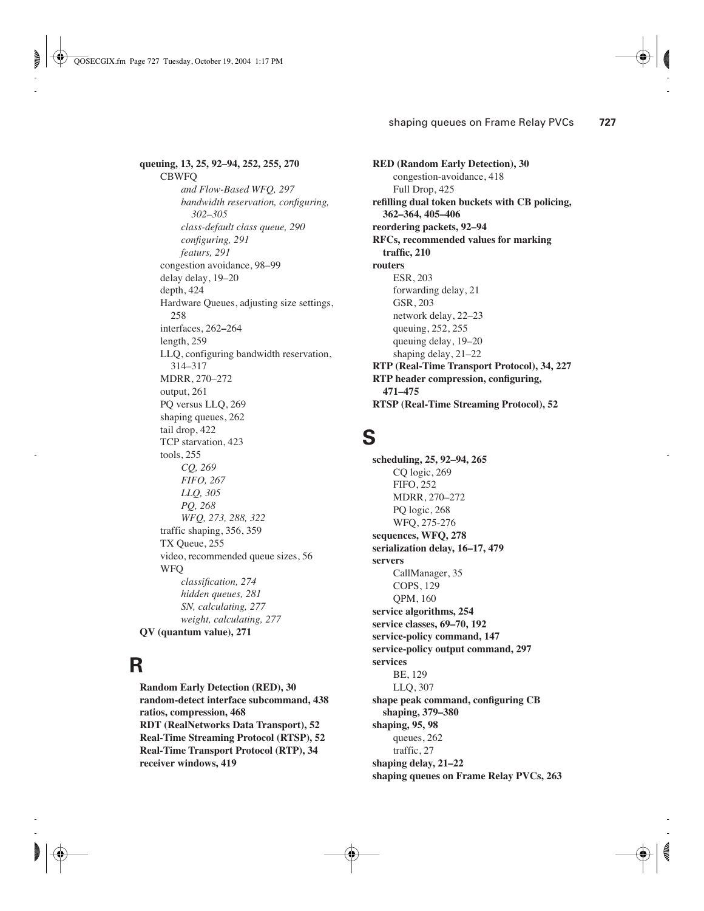**queuing, 13, 25, 92–94, 252, 255, 270** CBWFQ *and Flow-Based WFQ, 297 bandwidth reservation, configuring, 302–305 class-default class queue, 290 configuring, 291 featurs, 291* congestion avoidance, 98–99 delay delay, 19–20 depth, 424 Hardware Queues, adjusting size settings, 258 interfaces, 262**–**264 length, 259 LLQ, configuring bandwidth reservation, 314–317 MDRR, 270–272 output, 261 PQ versus LLQ, 269 shaping queues, 262 tail drop, 422 TCP starvation, 423 tools, 255 *CQ, 269 FIFO, 267 LLQ, 305 PQ, 268 WFQ, 273, 288, 322* traffic shaping, 356, 359 TX Queue, 255 video, recommended queue sizes, 56 WFQ *classification, 274 hidden queues, 281 SN, calculating, 277 weight, calculating, 277* **QV (quantum value), 271**

#### **R**

**Random Early Detection (RED), 30 random-detect interface subcommand, 438 ratios, compression, 468 RDT (RealNetworks Data Transport), 52 Real-Time Streaming Protocol (RTSP), 52 Real-Time Transport Protocol (RTP), 34 receiver windows, 419**

**RED (Random Early Detection), 30** congestion-avoidance, 418 Full Drop, 425 **refilling dual token buckets with CB policing, 362–364, 405–406 reordering packets, 92–94 RFCs, recommended values for marking traffic, 210 routers** ESR, 203 forwarding delay, 21 GSR, 203 network delay, 22–23 queuing, 252, 255 queuing delay, 19–20 shaping delay, 21–22 **RTP (Real-Time Transport Protocol), 34, 227 RTP header compression, configuring, 471–475 RTSP (Real-Time Streaming Protocol), 52**

#### **S**

**scheduling, 25, 92–94, 265** CQ logic, 269 FIFO, 252 MDRR, 270–272 PQ logic, 268 WFQ, 275-276 **sequences, WFQ, 278 serialization delay, 16–17, 479 servers** CallManager, 35 COPS, 129 QPM, 160 **service algorithms, 254 service classes, 69–70, 192 service-policy command, 147 service-policy output command, 297 services** BE, 129 LLQ, 307 **shape peak command, configuring CB shaping, 379–380 shaping, 95, 98** queues, 262 traffic, 27 **shaping delay, 21–22 shaping queues on Frame Relay PVCs, 263**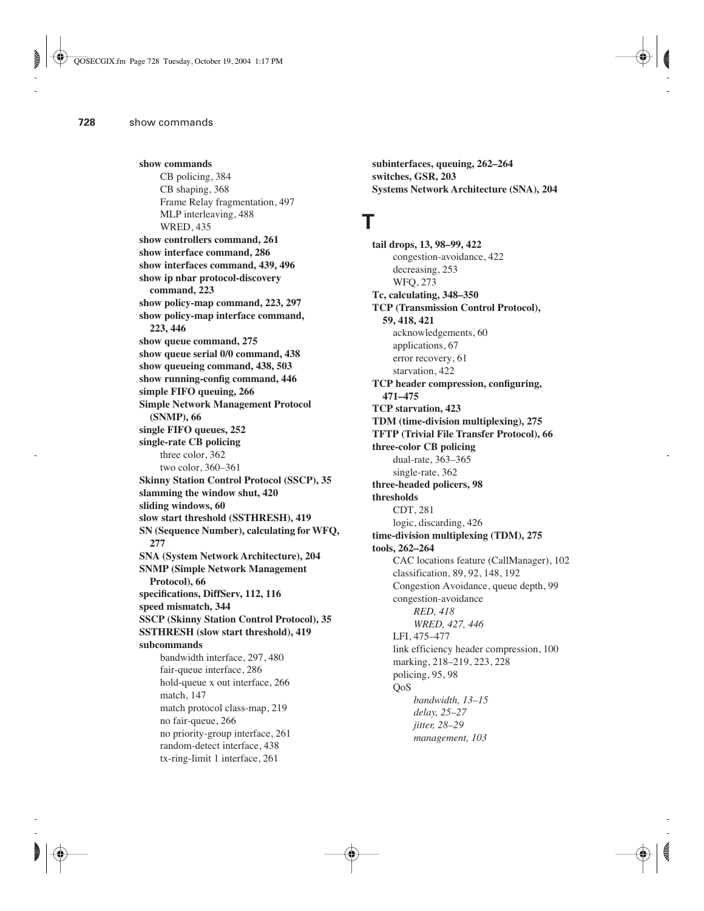**show commands** CB policing, 384 CB shaping, 368 Frame Relay fragmentation, 497 MLP interleaving, 488 WRED, 435 **show controllers command, 261 show interface command, 286 show interfaces command, 439, 496 show ip nbar protocol-discovery command, 223 show policy-map command, 223, 297 show policy-map interface command, 223, 446 show queue command, 275 show queue serial 0/0 command, 438 show queueing command, 438, 503 show running-config command, 446 simple FIFO queuing, 266 Simple Network Management Protocol (SNMP), 66 single FIFO queues, 252 single-rate CB policing** three color, 362 two color, 360–361 **Skinny Station Control Protocol (SSCP), 35 slamming the window shut, 420 sliding windows, 60 slow start threshold (SSTHRESH), 419 SN (Sequence Number), calculating for WFQ, 277 SNA (System Network Architecture), 204 SNMP (Simple Network Management Protocol), 66 specifications, DiffServ, 112, 116 speed mismatch, 344 SSCP (Skinny Station Control Protocol), 35 SSTHRESH (slow start threshold), 419 subcommands** bandwidth interface, 297, 480 fair-queue interface, 286 hold-queue x out interface, 266 match, 147 match protocol class-map, 219 no fair-queue, 266 no priority-group interface, 261 random-detect interface, 438 tx-ring-limit 1 interface, 261

**subinterfaces, queuing, 262–264 switches, GSR, 203 Systems Network Architecture (SNA), 204**

## **T**

**tail drops, 13, 98–99, 422** congestion-avoidance, 422 decreasing, 253 WFQ, 273 **Tc, calculating, 348–350 TCP (Transmission Control Protocol), 59, 418, 421** acknowledgements, 60 applications, 67 error recovery, 61 starvation, 422 **TCP header compression, configuring, 471–475 TCP starvation, 423 TDM (time-division multiplexing), 275 TFTP (Trivial File Transfer Protocol), 66 three-color CB policing** dual-rate, 363–365 single-rate, 362 **three-headed policers, 98 thresholds** CDT, 281 logic, discarding, 426 **time-division multiplexing (TDM), 275 tools, 262–264** CAC locations feature (CallManager), 102 classification, 89, 92, 148, 192 Congestion Avoidance, queue depth, 99 congestion-avoidance *RED, 418 WRED, 427, 446* LFI, 475–477 link efficiency header compression, 100 marking, 218–219, 223, 228 policing, 95, 98 QoS *bandwidth, 13–15 delay, 25–27 jitter, 28–29 management, 103*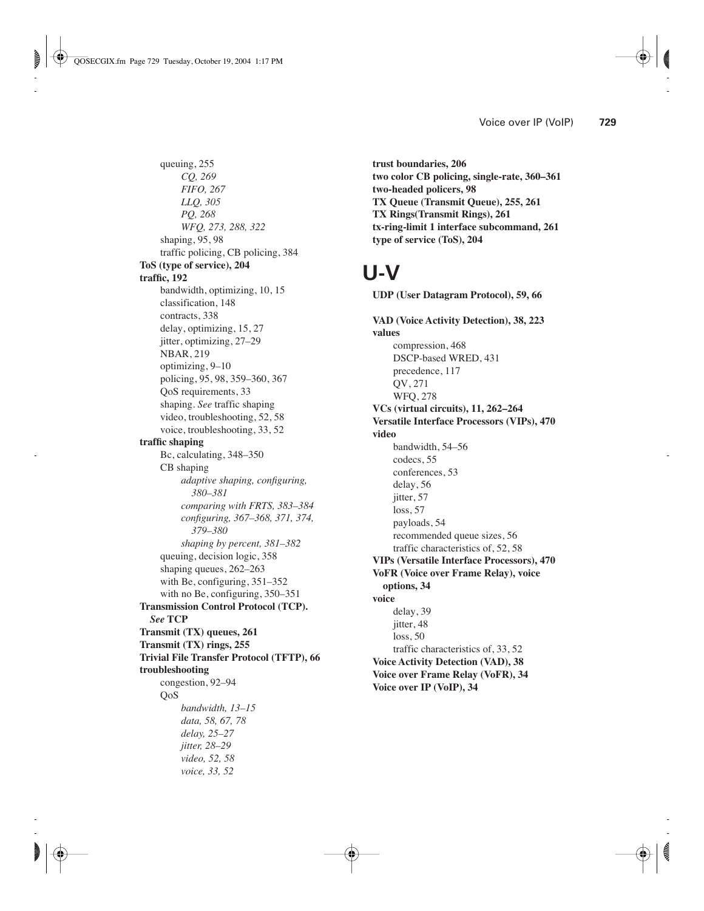queuing, 255 *CQ, 269 FIFO, 267 LLQ, 305 PQ, 268 WFQ, 273, 288, 322* shaping, 95, 98 traffic policing, CB policing, 384 **ToS (type of service), 204 traffic, 192** bandwidth, optimizing, 10, 15 classification, 148 contracts, 338 delay, optimizing, 15, 27 jitter, optimizing, 27–29 NBAR, 219 optimizing, 9–10 policing, 95, 98, 359–360, 367 QoS requirements, 33 shaping. *See* traffic shaping video, troubleshooting, 52, 58 voice, troubleshooting, 33, 52 **traffic shaping** Bc, calculating, 348–350 CB shaping *adaptive shaping, configuring, 380–381 comparing with FRTS, 383–384 configuring, 367–368, 371, 374, 379–380 shaping by percent, 381–382* queuing, decision logic, 358 shaping queues, 262–263 with Be, configuring, 351–352 with no Be, configuring, 350–351 **Transmission Control Protocol (TCP).**  *See* **TCP Transmit (TX) queues, 261 Transmit (TX) rings, 255 Trivial File Transfer Protocol (TFTP), 66 troubleshooting** congestion, 92–94 QoS *bandwidth, 13–15 data, 58, 67, 78 delay, 25–27 jitter, 28–29 video, 52, 58 voice, 33, 52*

**trust boundaries, 206 two color CB policing, single-rate, 360–361 two-headed policers, 98 TX Queue (Transmit Queue), 255, 261 TX Rings(Transmit Rings), 261 tx-ring-limit 1 interface subcommand, 261 type of service (ToS), 204**

# **U-V**

**UDP (User Datagram Protocol), 59, 66 VAD (Voice Activity Detection), 38, 223 values** compression, 468 DSCP-based WRED, 431 precedence, 117 QV, 271 WFQ, 278 **VCs (virtual circuits), 11, 262–264 Versatile Interface Processors (VIPs), 470 video** bandwidth, 54–56 codecs, 55 conferences, 53 delay, 56 jitter, 57 loss, 57 payloads, 54 recommended queue sizes, 56 traffic characteristics of, 52, 58 **VIPs (Versatile Interface Processors), 470 VoFR (Voice over Frame Relay), voice options, 34 voice** delay, 39 jitter, 48 loss, 50 traffic characteristics of, 33, 52 **Voice Activity Detection (VAD), 38 Voice over Frame Relay (VoFR), 34 Voice over IP (VoIP), 34**